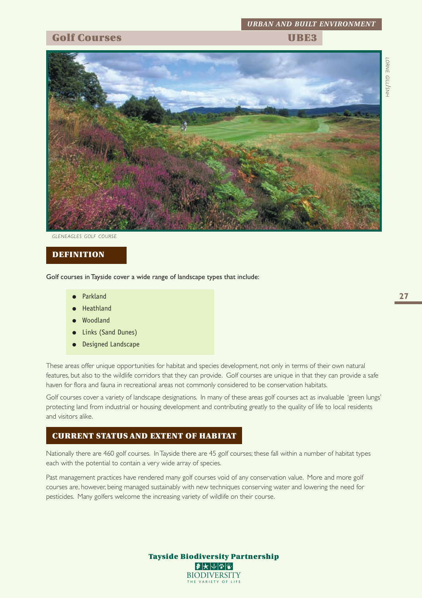# *URBAN AND BUILT ENVIRONMENT*

### **Golf Courses TRE3**





*GLENEAGLES GOLF COURSE*

#### **DEFINITION**

Golf courses in Tayside cover a wide range of landscape types that include:

- Parkland
- Heathland
- Woodland
- Links (Sand Dunes)
- **Designed Landscape**

These areas offer unique opportunities for habitat and species development, not only in terms of their own natural features, but also to the wildlife corridors that they can provide. Golf courses are unique in that they can provide a safe haven for flora and fauna in recreational areas not commonly considered to be conservation habitats.

Golf courses cover a variety of landscape designations. In many of these areas golf courses act as invaluable 'green lungs' protecting land from industrial or housing development and contributing greatly to the quality of life to local residents and visitors alike.

#### **CURRENT STATUS AND EXTENT OF HABITAT**

Nationally there are 460 golf courses. In Tayside there are 45 golf courses; these fall within a number of habitat types each with the potential to contain a very wide array of species.

Past management practices have rendered many golf courses void of any conservation value. More and more golf courses are, however, being managed sustainably with new techniques conserving water and lowering the need for pesticides. Many golfers welcome the increasing variety of wildlife on their course.

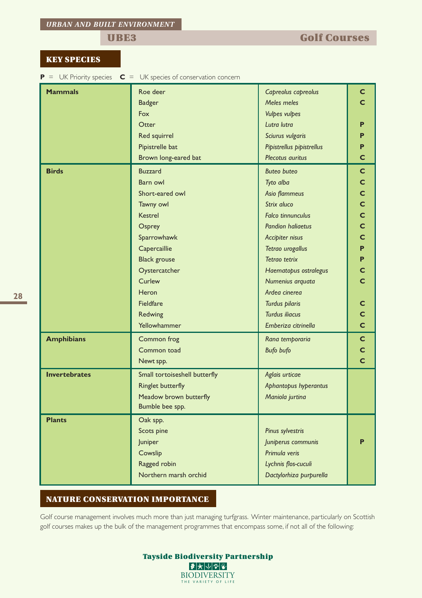#### **KEY SPECIES**

**P** = UK Priority species **C** = UK species of conservation concern

| <b>Mammals</b>       | Roe deer                               | Capreolus capreolus                           | C           |  |  |  |  |
|----------------------|----------------------------------------|-----------------------------------------------|-------------|--|--|--|--|
|                      | <b>Badger</b>                          | Meles meles                                   | C           |  |  |  |  |
|                      | Fox                                    | <b>Vulpes vulpes</b>                          |             |  |  |  |  |
|                      | Otter                                  | Lutra lutra                                   |             |  |  |  |  |
|                      | Red squirrel                           | Sciurus vulgaris                              | P           |  |  |  |  |
|                      | Pipistrelle bat                        |                                               | Р           |  |  |  |  |
|                      | Brown long-eared bat                   | Pipistrellus pipistrellus<br>Plecotus auritus | Ċ           |  |  |  |  |
|                      |                                        |                                               |             |  |  |  |  |
| <b>Birds</b>         | <b>Buzzard</b>                         | <b>Buteo buteo</b>                            | $\mathbf C$ |  |  |  |  |
|                      | Barn owl                               | Tyto alba                                     | C           |  |  |  |  |
|                      | Short-eared owl                        | Asio flammeus                                 | C           |  |  |  |  |
|                      | Tawny owl                              | Strix aluco                                   | Ċ           |  |  |  |  |
|                      | <b>Kestrel</b>                         | <b>Falco tinnunculus</b>                      | C           |  |  |  |  |
|                      | Osprey                                 | <b>Pandion haliaetus</b>                      | Ċ           |  |  |  |  |
|                      | Sparrowhawk<br>Accipiter nisus         |                                               |             |  |  |  |  |
|                      | Capercaillie<br>Tetrao urogallus       |                                               |             |  |  |  |  |
|                      | Tetrao tetrix<br><b>Black grouse</b>   |                                               |             |  |  |  |  |
|                      | Oystercatcher<br>Haematopus ostralegus |                                               |             |  |  |  |  |
|                      | Curlew                                 | Numenius arquata                              | C           |  |  |  |  |
|                      | Heron                                  | Ardea cinerea                                 |             |  |  |  |  |
|                      | Fieldfare                              | Turdus pilaris                                | C           |  |  |  |  |
|                      | Redwing                                | <b>Turdus iliacus</b>                         | C           |  |  |  |  |
|                      | Yellowhammer                           | Emberiza citrinella                           | Ċ           |  |  |  |  |
| <b>Amphibians</b>    | Common frog                            | Rana temporaria                               | $\mathbf C$ |  |  |  |  |
|                      | Common toad                            | <b>Bufo bufo</b>                              | C           |  |  |  |  |
|                      | Newt spp.                              |                                               | Ċ           |  |  |  |  |
| <b>Invertebrates</b> | Small tortoiseshell butterfly          | Aglais urticae                                |             |  |  |  |  |
|                      | <b>Ringlet butterfly</b>               | Aphantopus hyperantus                         |             |  |  |  |  |
|                      | Meadow brown butterfly                 | Maniola jurtina                               |             |  |  |  |  |
|                      | Bumble bee spp.                        |                                               |             |  |  |  |  |
| <b>Plants</b>        | Oak spp.                               |                                               |             |  |  |  |  |
|                      | Scots pine                             | Pinus sylvestris                              |             |  |  |  |  |
|                      | Juniper                                | Juniperus communis                            |             |  |  |  |  |
|                      | Cowslip                                | Primula veris                                 |             |  |  |  |  |
|                      | Ragged robin                           | Lychnis flos-cuculi                           |             |  |  |  |  |
|                      | Northern marsh orchid                  | Dactylorhiza purpurella                       |             |  |  |  |  |
|                      |                                        |                                               |             |  |  |  |  |

#### **NATURE CONSERVATION IMPORTANCE**

Golf course management involves much more than just managing turfgrass. Winter maintenance, particularly on Scottish golf courses makes up the bulk of the management programmes that encompass some, if not all of the following:

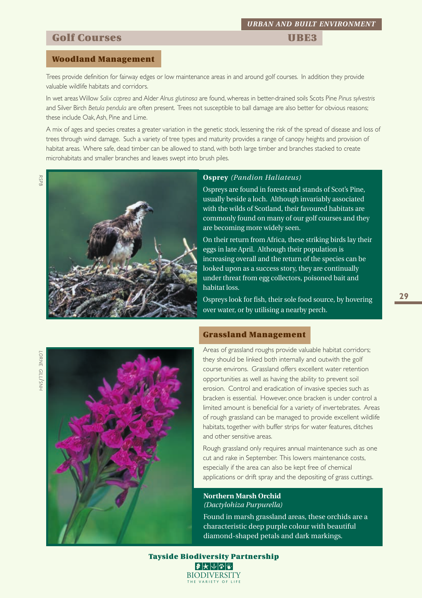### **Golf Courses Courses UBE3**

#### **Woodland Management**

Trees provide definition for fairway edges or low maintenance areas in and around golf courses. In addition they provide valuable wildlife habitats and corridors.

In wet areas Willow *Salix caprea* and Alder *Alnus glutinosa* are found, whereas in better-drained soils Scots Pine *Pinus sylvestris* and Silver Birch *Betula pendula* are often present. Trees not susceptible to ball damage are also better for obvious reasons; these include Oak, Ash, Pine and Lime.

A mix of ages and species creates a greater variation in the genetic stock, lessening the risk of the spread of disease and loss of trees through wind damage. Such a variety of tree types and maturity provides a range of canopy heights and provision of habitat areas. Where safe, dead timber can be allowed to stand, with both large timber and branches stacked to create microhabitats and smaller branches and leaves swept into brush piles.



#### **Osprey** *(Pandion Haliateus)*

Ospreys are found in forests and stands of Scot's Pine, usually beside a loch. Although invariably associated with the wilds of Scotland, their favoured habitats are commonly found on many of our golf courses and they are becoming more widely seen.

On their return from Africa, these striking birds lay their eggs in late April. Although their population is increasing overall and the return of the species can be looked upon as a success story, they are continually under threat from egg collectors, poisoned bait and habitat loss.

Ospreys look for fish, their sole food source, by hovering over water, or by utilising a nearby perch.

# *LORNE GILL/SNH*



#### **Grassland Management**

Areas of grassland roughs provide valuable habitat corridors; they should be linked both internally and outwith the golf course environs. Grassland offers excellent water retention opportunities as well as having the ability to prevent soil erosion. Control and eradication of invasive species such as bracken is essential. However, once bracken is under control a limited amount is beneficial for a variety of invertebrates. Areas of rough grassland can be managed to provide excellent wildlife habitats, together with buffer strips for water features, ditches and other sensitive areas.

Rough grassland only requires annual maintenance such as one cut and rake in September. This lowers maintenance costs, especially if the area can also be kept free of chemical applications or drift spray and the depositing of grass cuttings.

#### **Northern Marsh Orchid** *(Dactylohiza Purpurella)*

Found in marsh grassland areas, these orchids are a characteristic deep purple colour with beautiful diamond-shaped petals and dark markings.

**Tayside Biodiversity Partnership** ●大小を図 **BIODIVERSITY** THE VARIETY OF L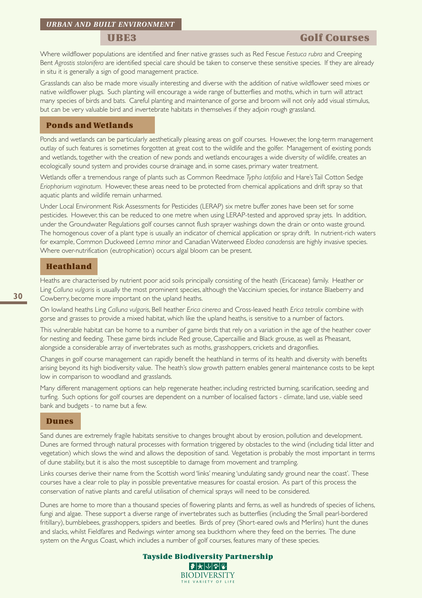Where wildflower populations are identified and finer native grasses such as Red Fescue *Festuca rubra* and Creeping Bent *Agrostis stolonifera* are identified special care should be taken to conserve these sensitive species. If they are already in situ it is generally a sign of good management practice.

Grasslands can also be made more visually interesting and diverse with the addition of native wildflower seed mixes or native wildflower plugs. Such planting will encourage a wide range of butterflies and moths, which in turn will attract many species of birds and bats. Careful planting and maintenance of gorse and broom will not only add visual stimulus, but can be very valuable bird and invertebrate habitats in themselves if they adjoin rough grassland.

#### **Ponds and Wetlands**

Ponds and wetlands can be particularly aesthetically pleasing areas on golf courses. However, the long-term management outlay of such features is sometimes forgotten at great cost to the wildlife and the golfer. Management of existing ponds and wetlands, together with the creation of new ponds and wetlands encourages a wide diversity of wildlife, creates an ecologically sound system and provides course drainage and, in some cases, primary water treatment.

Wetlands offer a tremendous range of plants such as Common Reedmace *Typha latifolia* and Hare's Tail Cotton Sedge *Eriophorium vaginatum*. However, these areas need to be protected from chemical applications and drift spray so that aquatic plants and wildlife remain unharmed.

Under Local Environment Risk Assessments for Pesticides (LERAP) six metre buffer zones have been set for some pesticides. However, this can be reduced to one metre when using LERAP-tested and approved spray jets. In addition, under the Groundwater Regulations golf courses cannot flush sprayer washings down the drain or onto waste ground. The homogenous cover of a plant type is usually an indicator of chemical application or spray drift. In nutrient-rich waters for example, Common Duckweed *Lemna minor* and Canadian Waterweed *Elodea canadensis* are highly invasive species. Where over-nutrification (eutrophication) occurs algal bloom can be present.

#### **Heathland**

Heaths are characterised by nutrient poor acid soils principally consisting of the heath (Ericaceae) family. Heather or Ling *Calluna vulgaris* is usually the most prominent species, although the Vaccinium species, for instance Blaeberry and Cowberry, become more important on the upland heaths.

On lowland heaths Ling *Calluna vulgaris*, Bell heather *Erica cinerea* and Cross-leaved heath *Erica tetralix* combine with gorse and grasses to provide a mixed habitat, which like the upland heaths, is sensitive to a number of factors.

This vulnerable habitat can be home to a number of game birds that rely on a variation in the age of the heather cover for nesting and feeding. These game birds include Red grouse, Capercaillie and Black grouse, as well as Pheasant, alongside a considerable array of invertebrates such as moths, grasshoppers, crickets and dragonflies.

Changes in golf course management can rapidly benefit the heathland in terms of its health and diversity with benefits arising beyond its high biodiversity value. The heath's slow growth pattern enables general maintenance costs to be kept low in comparison to woodland and grasslands.

Many different management options can help regenerate heather, including restricted burning, scarification, seeding and turfing. Such options for golf courses are dependent on a number of localised factors - climate, land use, viable seed bank and budgets - to name but a few.

#### **Dunes**

Sand dunes are extremely fragile habitats sensitive to changes brought about by erosion, pollution and development. Dunes are formed through natural processes with formation triggered by obstacles to the wind (including tidal litter and vegetation) which slows the wind and allows the deposition of sand. Vegetation is probably the most important in terms of dune stability, but it is also the most susceptible to damage from movement and trampling.

Links courses derive their name from the Scottish word 'links' meaning 'undulating sandy ground near the coast'. These courses have a clear role to play in possible preventative measures for coastal erosion. As part of this process the conservation of native plants and careful utilisation of chemical sprays will need to be considered.

Dunes are home to more than a thousand species of flowering plants and ferns, as well as hundreds of species of lichens, fungi and algae. These support a diverse range of invertebrates such as butterflies (including the Small pearl-bordered fritillary), bumblebees, grasshoppers, spiders and beetles. Birds of prey (Short-eared owls and Merlins) hunt the dunes and slacks, whilst Fieldfares and Redwings winter among sea buckthorn where they feed on the berries. The dune system on the Angus Coast, which includes a number of golf courses, features many of these species.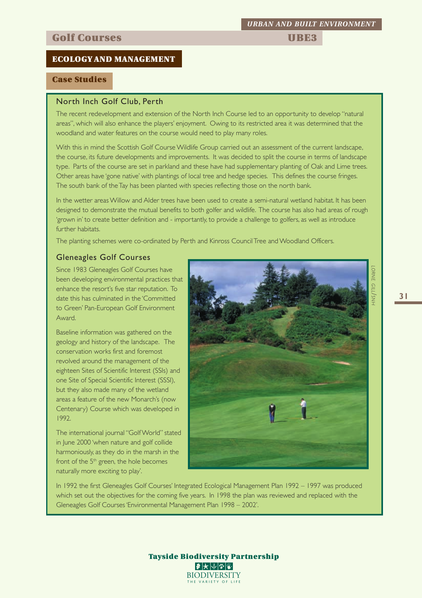## **Golf Courses Courses Access** 2008 **UBE3**

#### **ECOLOGY AND MANAGEMENT**

#### **Case Studies**

#### North Inch Golf Club, Perth

The recent redevelopment and extension of the North Inch Course led to an opportunity to develop "natural areas", which will also enhance the players' enjoyment. Owing to its restricted area it was determined that the woodland and water features on the course would need to play many roles.

With this in mind the Scottish Golf Course Wildlife Group carried out an assessment of the current landscape, the course, its future developments and improvements. It was decided to split the course in terms of landscape type. Parts of the course are set in parkland and these have had supplementary planting of Oak and Lime trees. Other areas have 'gone native' with plantings of local tree and hedge species. This defines the course fringes. The south bank of the Tay has been planted with species reflecting those on the north bank.

In the wetter areas Willow and Alder trees have been used to create a semi-natural wetland habitat. It has been designed to demonstrate the mutual benefits to both golfer and wildlife. The course has also had areas of rough 'grown in' to create better definition and - importantly, to provide a challenge to golfers, as well as introduce further habitats.

The planting schemes were co-ordinated by Perth and Kinross Council Tree and Woodland Officers.

#### Gleneagles Golf Courses

Since 1983 Gleneagles Golf Courses have been developing environmental practices that enhance the resort's five star reputation. To date this has culminated in the 'Committed to Green' Pan-European Golf Environment Award.

Baseline information was gathered on the geology and history of the landscape. The conservation works first and foremost revolved around the management of the eighteen Sites of Scientific Interest (SSIs) and one Site of Special Scientific Interest (SSSI), but they also made many of the wetland areas a feature of the new Monarch's (now Centenary) Course which was developed in 1992.

The international journal "Golf World" stated in June 2000 'when nature and golf collide harmoniously, as they do in the marsh in the front of the 5<sup>th</sup> green, the hole becomes naturally more exciting to play'.

In 1992 the first Gleneagles Golf Courses' Integrated Ecological Management Plan 1992 – 1997 was produced which set out the objectives for the coming five years. In 1998 the plan was reviewed and replaced with the Gleneagles Golf Courses 'Environmental Management Plan 1998 – 2002'.

# *URBAN AND BUILT ENVIRONMENT*

*LORNE*

*GILL/SNH*

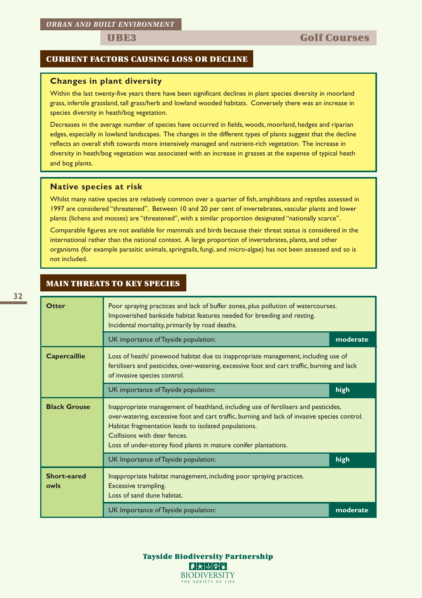#### **CURRENT FACTORS CAUSING LOSS OR DECLINE**

#### **Changes in plant diversity**

Within the last twenty-five years there have been significant declines in plant species diversity in moorland grass, infertile grassland, tall grass/herb and lowland wooded habitats. Conversely there was an increase in species diversity in heath/bog vegetation.

Decreases in the average number of species have occurred in fields, woods, moorland, hedges and riparian edges, especially in lowland landscapes. The changes in the different types of plants suggest that the decline reflects an overall shift towards more intensively managed and nutrient-rich vegetation. The increase in diversity in heath/bog vegetation was associated with an increase in grasses at the expense of typical heath and bog plants.

#### **Native species at risk**

Whilst many native species are relatively common over a quarter of fish, amphibians and reptiles assessed in 1997 are considered "threatened". Between 10 and 20 per cent of invertebrates, vascular plants and lower plants (lichens and mosses) are "threatened", with a similar proportion designated "nationally scarce".

Comparable figures are not available for mammals and birds because their threat status is considered in the international rather than the national context. A large proportion of invertebrates, plants, and other organisms (for example parasitic animals, springtails, fungi, and micro-algae) has not been assessed and so is not included.

#### **MAIN THREATS TO KEY SPECIES**

| <b>Otter</b>                                                                                                                                                                                                                             | Poor spraying practices and lack of buffer zones, plus pollution of watercourses.<br>Impoverished bankside habitat features needed for breeding and resting.<br>Incidental mortality, primarily by road deaths.                                                                                                                                 |          |  |  |  |  |  |  |
|------------------------------------------------------------------------------------------------------------------------------------------------------------------------------------------------------------------------------------------|-------------------------------------------------------------------------------------------------------------------------------------------------------------------------------------------------------------------------------------------------------------------------------------------------------------------------------------------------|----------|--|--|--|--|--|--|
|                                                                                                                                                                                                                                          | UK importance of Tayside population:                                                                                                                                                                                                                                                                                                            | moderate |  |  |  |  |  |  |
| <b>Capercaillie</b><br>Loss of heath/ pinewood habitat due to inappropriate management, including use of<br>fertilisers and pesticides, over-watering, excessive foot and cart traffic, burning and lack<br>of invasive species control. |                                                                                                                                                                                                                                                                                                                                                 |          |  |  |  |  |  |  |
|                                                                                                                                                                                                                                          | UK importance of Tayside population:                                                                                                                                                                                                                                                                                                            | high     |  |  |  |  |  |  |
| <b>Black Grouse</b>                                                                                                                                                                                                                      | Inappropriate management of heathland, including use of fertilisers and pesticides,<br>over-watering, excessive foot and cart traffic, burning and lack of invasive species control.<br>Habitat fragmentation leads to isolated populations.<br>Collisions with deer fences.<br>Loss of under-storey food plants in mature conifer plantations. |          |  |  |  |  |  |  |
|                                                                                                                                                                                                                                          | UK Importance of Tayside population:                                                                                                                                                                                                                                                                                                            | high     |  |  |  |  |  |  |
| <b>Short-eared</b><br>owls                                                                                                                                                                                                               | Inappropriate habitat management, including poor spraying practices.<br>Excessive trampling.<br>Loss of sand dune habitat.                                                                                                                                                                                                                      |          |  |  |  |  |  |  |
|                                                                                                                                                                                                                                          | UK Importance of Tayside population:                                                                                                                                                                                                                                                                                                            | moderate |  |  |  |  |  |  |

**Tayside Biodiversity Partnership**  $\blacktriangleright$   $\blacktriangleright$   $\blacktriangleright$   $\blacktriangleright$   $\blacktriangleright$ **BIODIVERSITY** THE VARIETY OF LIFE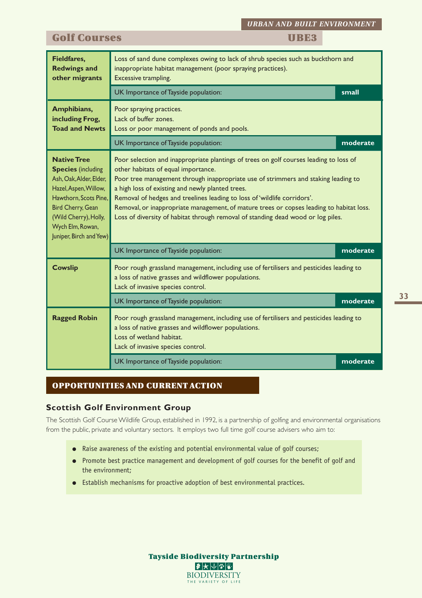*URBAN AND BUILT ENVIRONMENT*

### **Golf Courses TRE3**

| <b>Fieldfares,</b><br><b>Redwings and</b><br>other migrants                                                                                                                                                                             | Loss of sand dune complexes owing to lack of shrub species such as buckthorn and<br>inappropriate habitat management (poor spraying practices).<br>Excessive trampling.                                                                                                                                                                                                                                                                                                                                                             |          |  |  |  |  |
|-----------------------------------------------------------------------------------------------------------------------------------------------------------------------------------------------------------------------------------------|-------------------------------------------------------------------------------------------------------------------------------------------------------------------------------------------------------------------------------------------------------------------------------------------------------------------------------------------------------------------------------------------------------------------------------------------------------------------------------------------------------------------------------------|----------|--|--|--|--|
|                                                                                                                                                                                                                                         | UK Importance of Tayside population:                                                                                                                                                                                                                                                                                                                                                                                                                                                                                                | small    |  |  |  |  |
| Amphibians,<br>including Frog,<br><b>Toad and Newts</b>                                                                                                                                                                                 | Poor spraying practices.<br>Lack of buffer zones.<br>Loss or poor management of ponds and pools.                                                                                                                                                                                                                                                                                                                                                                                                                                    |          |  |  |  |  |
|                                                                                                                                                                                                                                         | UK Importance of Tayside population:                                                                                                                                                                                                                                                                                                                                                                                                                                                                                                | moderate |  |  |  |  |
| <b>Native Tree</b><br><b>Species</b> (including<br>Ash, Oak, Alder, Elder,<br>Hazel, Aspen, Willow,<br>Hawthorn, Scots Pine,<br>Bird Cherry, Gean<br>(Wild Cherry), Holly,<br>Wych Elm, Rowan,<br>Juniper, Birch and Yew)               | Poor selection and inappropriate plantings of trees on golf courses leading to loss of<br>other habitats of equal importance.<br>Poor tree management through inappropriate use of strimmers and staking leading to<br>a high loss of existing and newly planted trees.<br>Removal of hedges and treelines leading to loss of 'wildlife corridors'.<br>Removal, or inappropriate management, of mature trees or copses leading to habitat loss.<br>Loss of diversity of habitat through removal of standing dead wood or log piles. |          |  |  |  |  |
|                                                                                                                                                                                                                                         | UK Importance of Tayside population:                                                                                                                                                                                                                                                                                                                                                                                                                                                                                                |          |  |  |  |  |
| <b>Cowslip</b>                                                                                                                                                                                                                          | Poor rough grassland management, including use of fertilisers and pesticides leading to<br>a loss of native grasses and wildflower populations.<br>Lack of invasive species control.                                                                                                                                                                                                                                                                                                                                                |          |  |  |  |  |
|                                                                                                                                                                                                                                         | UK Importance of Tayside population:                                                                                                                                                                                                                                                                                                                                                                                                                                                                                                | moderate |  |  |  |  |
| <b>Ragged Robin</b><br>Poor rough grassland management, including use of fertilisers and pesticides leading to<br>a loss of native grasses and wildflower populations.<br>Loss of wetland habitat.<br>Lack of invasive species control. |                                                                                                                                                                                                                                                                                                                                                                                                                                                                                                                                     |          |  |  |  |  |
|                                                                                                                                                                                                                                         | UK Importance of Tayside population:                                                                                                                                                                                                                                                                                                                                                                                                                                                                                                | moderate |  |  |  |  |

#### **OPPORTUNITIES AND CURRENT ACTION**

#### **Scottish Golf Environment Group**

The Scottish Golf Course Wildlife Group, established in 1992, is a partnership of golfing and environmental organisations from the public, private and voluntary sectors. It employs two full time golf course advisers who aim to:

- Raise awareness of the existing and potential environmental value of golf courses;
- Promote best practice management and development of golf courses for the benefit of golf and the environment;
- Establish mechanisms for proactive adoption of best environmental practices.

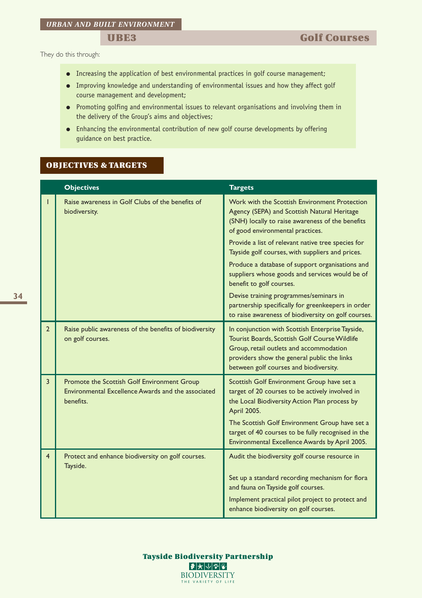They do this through:

- Increasing the application of best environmental practices in golf course management;
- Improving knowledge and understanding of environmental issues and how they affect golf course management and development;
- Promoting golfing and environmental issues to relevant organisations and involving them in the delivery of the Group's aims and objectives;
- Enhancing the environmental contribution of new golf course developments by offering guidance on best practice.

#### **OBJECTIVES & TARGETS**

|                | <b>Objectives</b>                                                                                              | <b>Targets</b>                                                                                                                                                                                                                        |  |  |  |
|----------------|----------------------------------------------------------------------------------------------------------------|---------------------------------------------------------------------------------------------------------------------------------------------------------------------------------------------------------------------------------------|--|--|--|
|                | Raise awareness in Golf Clubs of the benefits of<br>biodiversity.                                              | Work with the Scottish Environment Protection<br>Agency (SEPA) and Scottish Natural Heritage<br>(SNH) locally to raise awareness of the benefits<br>of good environmental practices.                                                  |  |  |  |
|                |                                                                                                                | Provide a list of relevant native tree species for<br>Tayside golf courses, with suppliers and prices.                                                                                                                                |  |  |  |
|                |                                                                                                                | Produce a database of support organisations and<br>suppliers whose goods and services would be of<br>benefit to golf courses.                                                                                                         |  |  |  |
|                |                                                                                                                | Devise training programmes/seminars in<br>partnership specifically for greenkeepers in order<br>to raise awareness of biodiversity on golf courses.                                                                                   |  |  |  |
| $\overline{2}$ | Raise public awareness of the benefits of biodiversity<br>on golf courses.                                     | In conjunction with Scottish Enterprise Tayside,<br>Tourist Boards, Scottish Golf Course Wildlife<br>Group, retail outlets and accommodation<br>providers show the general public the links<br>between golf courses and biodiversity. |  |  |  |
| 3              | Promote the Scottish Golf Environment Group<br>Environmental Excellence Awards and the associated<br>benefits. | Scottish Golf Environment Group have set a<br>target of 20 courses to be actively involved in<br>the Local Biodiversity Action Plan process by<br>April 2005.                                                                         |  |  |  |
|                |                                                                                                                | The Scottish Golf Environment Group have set a<br>target of 40 courses to be fully recognised in the<br>Environmental Excellence Awards by April 2005.                                                                                |  |  |  |
| 4              | Protect and enhance biodiversity on golf courses.<br>Tayside.                                                  | Audit the biodiversity golf course resource in                                                                                                                                                                                        |  |  |  |
|                |                                                                                                                | Set up a standard recording mechanism for flora<br>and fauna on Tayside golf courses.                                                                                                                                                 |  |  |  |
|                |                                                                                                                | Implement practical pilot project to protect and<br>enhance biodiversity on golf courses.                                                                                                                                             |  |  |  |

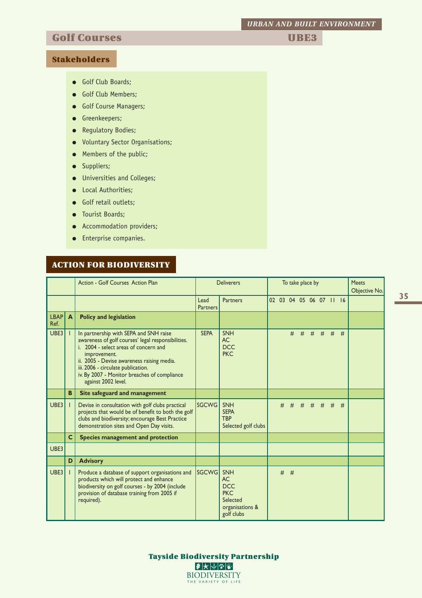*URBAN AND BUILT ENVIRONMENT*

# **Golf Courses The Courses The Courses The Courses The Courses The Course In the UBE3**

#### **Stakeholders**

- Golf Club Boards;
- Golf Club Members;
- Golf Course Managers;
- Greenkeepers;
- Regulatory Bodies;
- Voluntary Sector Organisations;
- Members of the public;
- Suppliers;
- Universities and Colleges;
- Local Authorities;
- Golf retail outlets;
- Tourist Boards;
- Accommodation providers;
- Enterprise companies.

#### **ACTION FOR BIODIVERSITY**

|                     |              | Action - Golf Courses Action Plan                                                                                                                                                                                                                                                                                | <b>Deliverers</b>       |                                                                                                  |  | To take place by | <b>Meets</b><br>Objective No. |                         |   |   |   |  |
|---------------------|--------------|------------------------------------------------------------------------------------------------------------------------------------------------------------------------------------------------------------------------------------------------------------------------------------------------------------------|-------------------------|--------------------------------------------------------------------------------------------------|--|------------------|-------------------------------|-------------------------|---|---|---|--|
|                     |              |                                                                                                                                                                                                                                                                                                                  | Lead<br><b>Partners</b> | <b>Partners</b>                                                                                  |  |                  |                               | 02 03 04 05 06 07 11 16 |   |   |   |  |
| <b>LBAP</b><br>Ref. | A            | <b>Policy and legislation</b>                                                                                                                                                                                                                                                                                    |                         |                                                                                                  |  |                  |                               |                         |   |   |   |  |
| UBE3                |              | In partnership with SEPA and SNH raise<br>awareness of golf courses' legal responsibilities.<br>i. 2004 - select areas of concern and<br>improvement.<br>ii. 2005 - Devise awareness raising media.<br>iii. 2006 - circulate publication.<br>iv. By 2007 - Monitor breaches of compliance<br>against 2002 level. | <b>SEPA</b>             | <b>SNH</b><br>AC<br><b>DCC</b><br><b>PKC</b>                                                     |  |                  | #                             | $#$ #                   | # | # | # |  |
|                     | B            | Site safeguard and management                                                                                                                                                                                                                                                                                    |                         |                                                                                                  |  |                  |                               |                         |   |   |   |  |
| UBE3                |              | Devise in consultation with golf clubs practical<br>projects that would be of benefit to both the golf<br>clubs and biodiversity; encourage Best Practice<br>demonstration sites and Open Day visits.                                                                                                            | <b>SGCWG</b>            | <b>SNH</b><br><b>SEPA</b><br><b>TBP</b><br>Selected golf clubs                                   |  | #                |                               | # # # # #               |   |   | # |  |
|                     | $\mathsf{C}$ | Species management and protection                                                                                                                                                                                                                                                                                |                         |                                                                                                  |  |                  |                               |                         |   |   |   |  |
| UBE3                |              |                                                                                                                                                                                                                                                                                                                  |                         |                                                                                                  |  |                  |                               |                         |   |   |   |  |
|                     | D            | <b>Advisory</b>                                                                                                                                                                                                                                                                                                  |                         |                                                                                                  |  |                  |                               |                         |   |   |   |  |
| UBE3                |              | Produce a database of support organisations and<br>products which will protect and enhance<br>biodiversity on golf courses - by 2004 (include<br>provision of database training from 2005 if<br>required).                                                                                                       | <b>SGCWG</b>            | <b>SNH</b><br><b>AC</b><br><b>DCC</b><br><b>PKC</b><br>Selected<br>organisations &<br>golf clubs |  | $#$ #            |                               |                         |   |   |   |  |

**35**

**Tayside Biodiversity Partnership**  $\bullet\star\smash\downarrow\smash\cdot\, \mathbb{Z}$ **BIODIVERSITY** THE VARIETY OF LIFE